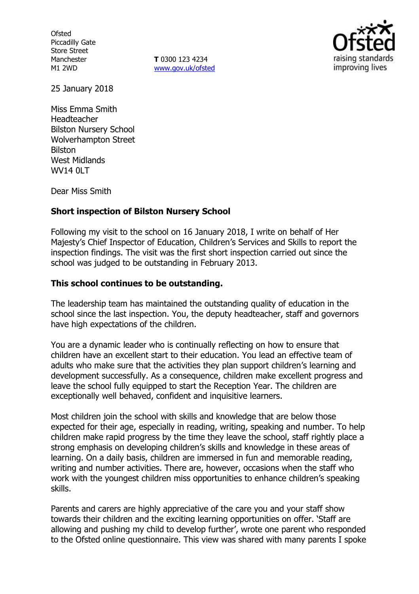**Ofsted** Piccadilly Gate Store Street Manchester M1 2WD

**T** 0300 123 4234 www.gov.uk/ofsted



25 January 2018

Miss Emma Smith Headteacher Bilston Nursery School Wolverhampton Street Bilston West Midlands WV14 0LT

Dear Miss Smith

### **Short inspection of Bilston Nursery School**

Following my visit to the school on 16 January 2018, I write on behalf of Her Majesty's Chief Inspector of Education, Children's Services and Skills to report the inspection findings. The visit was the first short inspection carried out since the school was judged to be outstanding in February 2013.

### **This school continues to be outstanding.**

The leadership team has maintained the outstanding quality of education in the school since the last inspection. You, the deputy headteacher, staff and governors have high expectations of the children.

You are a dynamic leader who is continually reflecting on how to ensure that children have an excellent start to their education. You lead an effective team of adults who make sure that the activities they plan support children's learning and development successfully. As a consequence, children make excellent progress and leave the school fully equipped to start the Reception Year. The children are exceptionally well behaved, confident and inquisitive learners.

Most children join the school with skills and knowledge that are below those expected for their age, especially in reading, writing, speaking and number. To help children make rapid progress by the time they leave the school, staff rightly place a strong emphasis on developing children's skills and knowledge in these areas of learning. On a daily basis, children are immersed in fun and memorable reading, writing and number activities. There are, however, occasions when the staff who work with the youngest children miss opportunities to enhance children's speaking skills.

Parents and carers are highly appreciative of the care you and your staff show towards their children and the exciting learning opportunities on offer. 'Staff are allowing and pushing my child to develop further', wrote one parent who responded to the Ofsted online questionnaire. This view was shared with many parents I spoke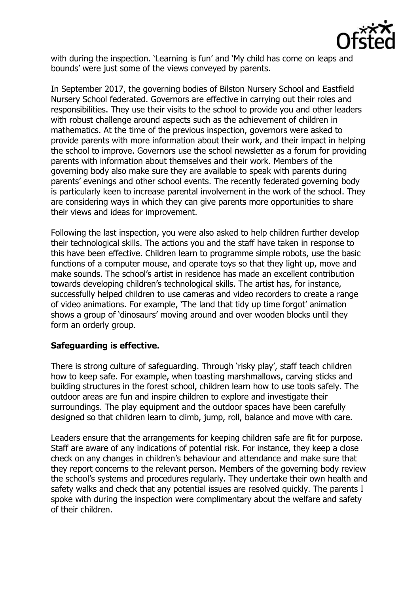

with during the inspection. 'Learning is fun' and 'My child has come on leaps and bounds' were just some of the views conveyed by parents.

In September 2017, the governing bodies of Bilston Nursery School and Eastfield Nursery School federated. Governors are effective in carrying out their roles and responsibilities. They use their visits to the school to provide you and other leaders with robust challenge around aspects such as the achievement of children in mathematics. At the time of the previous inspection, governors were asked to provide parents with more information about their work, and their impact in helping the school to improve. Governors use the school newsletter as a forum for providing parents with information about themselves and their work. Members of the governing body also make sure they are available to speak with parents during parents' evenings and other school events. The recently federated governing body is particularly keen to increase parental involvement in the work of the school. They are considering ways in which they can give parents more opportunities to share their views and ideas for improvement.

Following the last inspection, you were also asked to help children further develop their technological skills. The actions you and the staff have taken in response to this have been effective. Children learn to programme simple robots, use the basic functions of a computer mouse, and operate toys so that they light up, move and make sounds. The school's artist in residence has made an excellent contribution towards developing children's technological skills. The artist has, for instance, successfully helped children to use cameras and video recorders to create a range of video animations. For example, 'The land that tidy up time forgot' animation shows a group of 'dinosaurs' moving around and over wooden blocks until they form an orderly group.

# **Safeguarding is effective.**

There is strong culture of safeguarding. Through 'risky play', staff teach children how to keep safe. For example, when toasting marshmallows, carving sticks and building structures in the forest school, children learn how to use tools safely. The outdoor areas are fun and inspire children to explore and investigate their surroundings. The play equipment and the outdoor spaces have been carefully designed so that children learn to climb, jump, roll, balance and move with care.

Leaders ensure that the arrangements for keeping children safe are fit for purpose. Staff are aware of any indications of potential risk. For instance, they keep a close check on any changes in children's behaviour and attendance and make sure that they report concerns to the relevant person. Members of the governing body review the school's systems and procedures regularly. They undertake their own health and safety walks and check that any potential issues are resolved quickly. The parents I spoke with during the inspection were complimentary about the welfare and safety of their children.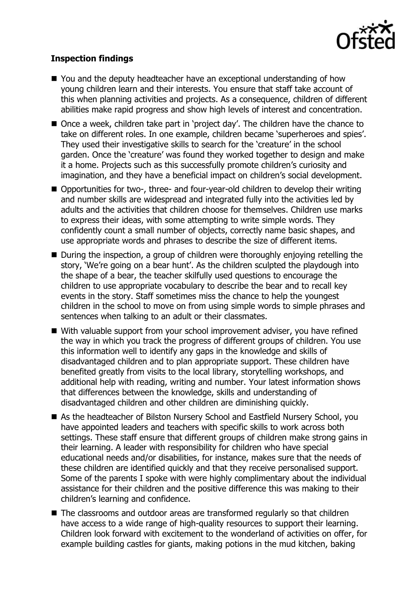

## **Inspection findings**

- You and the deputy headteacher have an exceptional understanding of how young children learn and their interests. You ensure that staff take account of this when planning activities and projects. As a consequence, children of different abilities make rapid progress and show high levels of interest and concentration.
- Once a week, children take part in 'project day'. The children have the chance to take on different roles. In one example, children became 'superheroes and spies'. They used their investigative skills to search for the 'creature' in the school garden. Once the 'creature' was found they worked together to design and make it a home. Projects such as this successfully promote children's curiosity and imagination, and they have a beneficial impact on children's social development.
- Opportunities for two-, three- and four-year-old children to develop their writing and number skills are widespread and integrated fully into the activities led by adults and the activities that children choose for themselves. Children use marks to express their ideas, with some attempting to write simple words. They confidently count a small number of objects, correctly name basic shapes, and use appropriate words and phrases to describe the size of different items.
- During the inspection, a group of children were thoroughly enjoying retelling the story, 'We're going on a bear hunt'. As the children sculpted the playdough into the shape of a bear, the teacher skilfully used questions to encourage the children to use appropriate vocabulary to describe the bear and to recall key events in the story. Staff sometimes miss the chance to help the youngest children in the school to move on from using simple words to simple phrases and sentences when talking to an adult or their classmates.
- With valuable support from your school improvement adviser, you have refined the way in which you track the progress of different groups of children. You use this information well to identify any gaps in the knowledge and skills of disadvantaged children and to plan appropriate support. These children have benefited greatly from visits to the local library, storytelling workshops, and additional help with reading, writing and number. Your latest information shows that differences between the knowledge, skills and understanding of disadvantaged children and other children are diminishing quickly.
- As the headteacher of Bilston Nursery School and Eastfield Nursery School, you have appointed leaders and teachers with specific skills to work across both settings. These staff ensure that different groups of children make strong gains in their learning. A leader with responsibility for children who have special educational needs and/or disabilities, for instance, makes sure that the needs of these children are identified quickly and that they receive personalised support. Some of the parents I spoke with were highly complimentary about the individual assistance for their children and the positive difference this was making to their children's learning and confidence.
- The classrooms and outdoor areas are transformed regularly so that children have access to a wide range of high-quality resources to support their learning. Children look forward with excitement to the wonderland of activities on offer, for example building castles for giants, making potions in the mud kitchen, baking